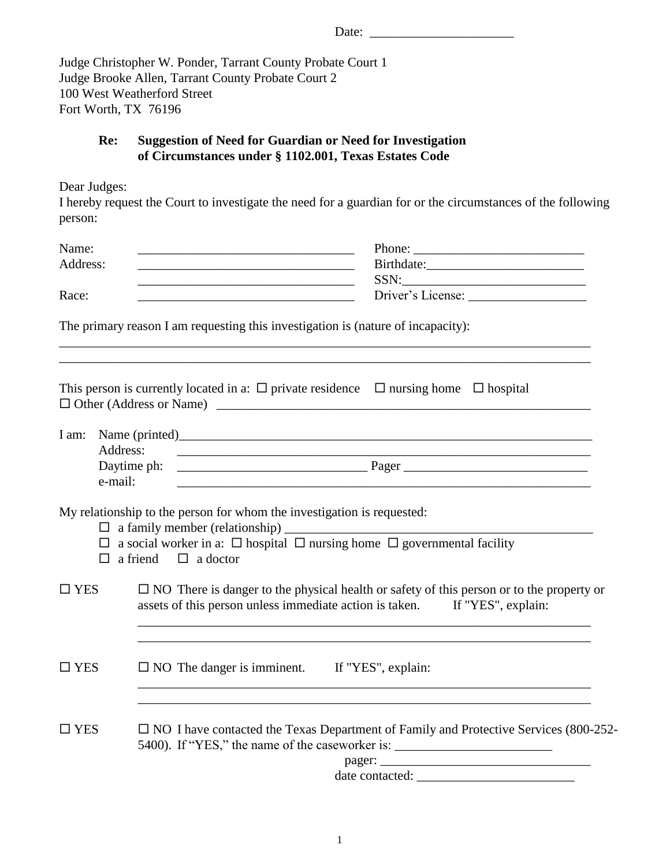| Fort Worth, TX 76196    | Judge Christopher W. Ponder, Tarrant County Probate Court 1<br>Judge Brooke Allen, Tarrant County Probate Court 2<br>100 West Weatherford Street                                |  |  |  |
|-------------------------|---------------------------------------------------------------------------------------------------------------------------------------------------------------------------------|--|--|--|
| Re:                     | <b>Suggestion of Need for Guardian or Need for Investigation</b><br>of Circumstances under § 1102.001, Texas Estates Code                                                       |  |  |  |
| Dear Judges:<br>person: | I hereby request the Court to investigate the need for a guardian for or the circumstances of the following                                                                     |  |  |  |
| Name:                   | <u> 2000 - 2000 - 2000 - 2000 - 2000 - 2000 - 2000 - 2000 - 2000 - 2000 - 2000 - 2000 - 2000 - 2000 - 2000 - 200</u>                                                            |  |  |  |
| Address:                | <u> 1980 - Johann Barn, amerikansk politiker (d. 1980)</u>                                                                                                                      |  |  |  |
|                         | <u> 2000 - Jan Barnett, fransk politik (d. 1982)</u>                                                                                                                            |  |  |  |
| Race:                   |                                                                                                                                                                                 |  |  |  |
|                         | The primary reason I am requesting this investigation is (nature of incapacity):<br>,我们也不能在这里的时候,我们也不能在这里的时候,我们也不能会在这里的时候,我们也不能会在这里的时候,我们也不能会在这里的时候,我们也不能会在这里的时候,我们也不           |  |  |  |
|                         | This person is currently located in a: $\Box$ private residence $\Box$ nursing home $\Box$ hospital                                                                             |  |  |  |
| Address:                |                                                                                                                                                                                 |  |  |  |
|                         | Daytime ph:                                                                                                                                                                     |  |  |  |
| e-mail:                 |                                                                                                                                                                                 |  |  |  |
|                         | My relationship to the person for whom the investigation is requested:<br>$\Box$ a family member (relationship) $\Box$                                                          |  |  |  |
|                         | $\Box$ a social worker in a: $\Box$ hospital $\Box$ nursing home $\Box$ governmental facility<br>a friend<br>$\Box$ a doctor                                                    |  |  |  |
| $\square$ YES           | $\Box$ NO There is danger to the physical health or safety of this person or to the property or<br>assets of this person unless immediate action is taken. If "YES", explain:   |  |  |  |
| $\Box$ YES              | $\Box$ NO The danger is imminent. If "YES", explain:                                                                                                                            |  |  |  |
| $\square$ YES           | $\Box$ NO I have contacted the Texas Department of Family and Protective Services (800-252-<br>5400). If "YES," the name of the caseworker is: ________________________________ |  |  |  |
|                         |                                                                                                                                                                                 |  |  |  |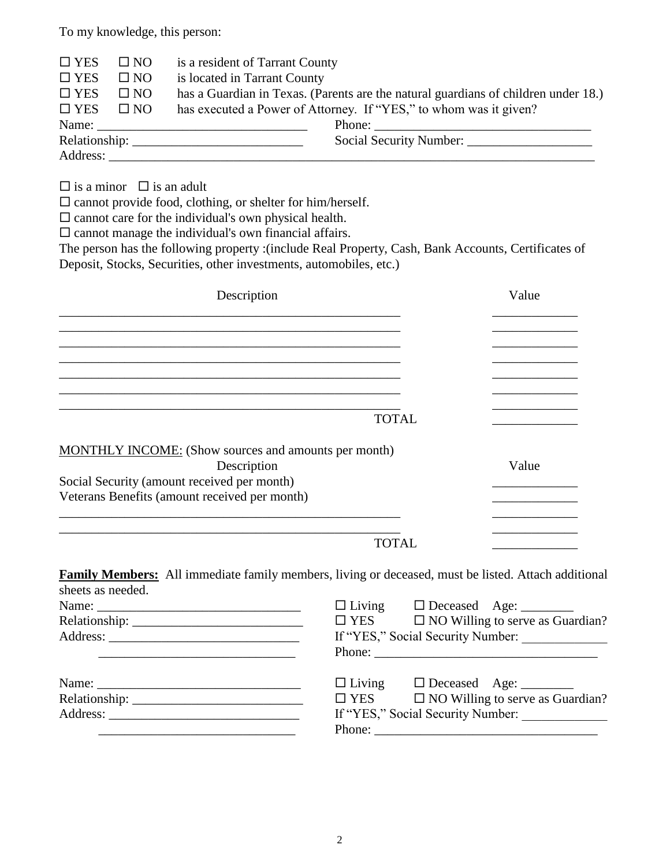To my knowledge, this person:

| $\square$ YES<br>$\square$ NO<br>is a resident of Tarrant County                                                    |                                                                   |  |  |  |
|---------------------------------------------------------------------------------------------------------------------|-------------------------------------------------------------------|--|--|--|
| $\square$ YES<br>is located in Tarrant County<br>$\square$ NO                                                       |                                                                   |  |  |  |
| $\square$ YES<br>$\square$ NO<br>has a Guardian in Texas. (Parents are the natural guardians of children under 18.) |                                                                   |  |  |  |
| $\square$ YES<br>$\square$ NO                                                                                       | has executed a Power of Attorney. If "YES," to whom was it given? |  |  |  |
|                                                                                                                     |                                                                   |  |  |  |
|                                                                                                                     |                                                                   |  |  |  |
| Address:                                                                                                            |                                                                   |  |  |  |

 $\square$  is a minor  $\square$  is an adult

 $\square$  cannot provide food, clothing, or shelter for him/herself.

 $\square$  cannot care for the individual's own physical health.

 $\square$  cannot manage the individual's own financial affairs.

The person has the following property :(include Real Property, Cash, Bank Accounts, Certificates of Deposit, Stocks, Securities, other investments, automobiles, etc.)

| Description                                          | Value |  |
|------------------------------------------------------|-------|--|
|                                                      |       |  |
|                                                      |       |  |
|                                                      |       |  |
| <b>TOTAL</b>                                         |       |  |
|                                                      |       |  |
| MONTHLY INCOME: (Show sources and amounts per month) |       |  |
| Description                                          | Value |  |
| Social Security (amount received per month)          |       |  |
| Veterans Benefits (amount received per month)        |       |  |
|                                                      |       |  |
| TOTAI                                                |       |  |

**Family Members:** All immediate family members, living or deceased, must be listed. Attach additional sheets as needed.

|            | $\Box$ Living $\Box$ Deceased Age: _________       |  |  |  |
|------------|----------------------------------------------------|--|--|--|
| $\Box$ YES | $\Box$ NO Willing to serve as Guardian?            |  |  |  |
|            | If "YES," Social Security Number:                  |  |  |  |
|            |                                                    |  |  |  |
|            | $\Box$ Living $\Box$ Deceased Age: _________       |  |  |  |
|            | $\Box$ YES $\Box$ NO Willing to serve as Guardian? |  |  |  |
|            | If "YES," Social Security Number:                  |  |  |  |
|            |                                                    |  |  |  |